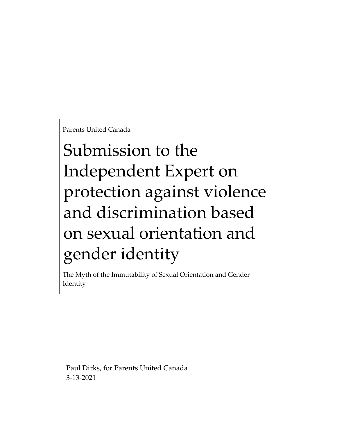Parents United Canada

# Submission to the Independent Expert on protection against violence and discrimination based on sexual orientation and gender identity

The Myth of the Immutability of Sexual Orientation and Gender Identity

Paul Dirks, for Parents United Canada 3-13-2021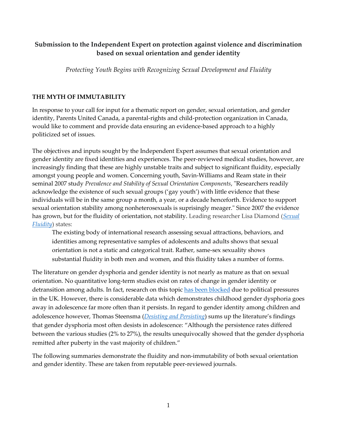## **Submission to the Independent Expert on protection against violence and discrimination based on sexual orientation and gender identity**

*Protecting Youth Begins with Recognizing Sexual Development and Fluidity*

#### **THE MYTH OF IMMUTABILITY**

In response to your call for input for a thematic report on gender, sexual orientation, and gender identity, Parents United Canada, a parental-rights and child-protection organization in Canada, would like to comment and provide data ensuring an evidence-based approach to a highly politicized set of issues.

The objectives and inputs sought by the Independent Expert assumes that sexual orientation and gender identity are fixed identities and experiences. The peer-reviewed medical studies, however, are increasingly finding that these are highly unstable traits and subject to significant fluidity, especially amongst young people and women. Concerning youth, Savin-Williams and Ream state in their seminal 2007 study *Prevalence and Stability of Sexual Orientation Components*, "Researchers readily acknowledge the existence of such sexual groups ('gay youth') with little evidence that these individuals will be in the same group a month, a year, or a decade henceforth. Evidence to support sexual orientation stability among nonheterosexuals is suprisingly meager." Since 2007 the evidence has grown, but for the fluidity of orientation, not stability. Leading researcher Lisa Diamond (*[Sexual](https://link.springer.com/article/10.1007/s11930-016-0092-z)  [Fluidity](https://link.springer.com/article/10.1007/s11930-016-0092-z)*) states:

The existing body of international research assessing sexual attractions, behaviors, and identities among representative samples of adolescents and adults shows that sexual orientation is not a static and categorical trait. Rather, same-sex sexuality shows substantial fluidity in both men and women, and this fluidity takes a number of forms.

The literature on gender dysphoria and gender identity is not nearly as mature as that on sexual orientation. No quantitative long-term studies exist on rates of change in gender identity or detransition among adults. In fact, research on this topi[c has been blocked](https://nationalpost.com/news/world/the-new-taboo-more-people-regret-sex-change-and-want-to-detransition-surgeon-says) due to political pressures in the UK. However, there is considerable data which demonstrates childhood gender dysphoria goes away in adolescence far more often than it persists. In regard to gender identity among children and adolescence however, Thomas Steensma (*[Desisting and Persisting](https://pubmed.ncbi.nlm.nih.gov/21216800/)*) sums up the literature's findings that gender dysphoria most often desists in adolescence: "Although the persistence rates differed between the various studies (2% to 27%), the results unequivocally showed that the gender dysphoria remitted after puberty in the vast majority of children."

The following summaries demonstrate the fluidity and non-immutability of both sexual orientation and gender identity. These are taken from reputable peer-reviewed journals.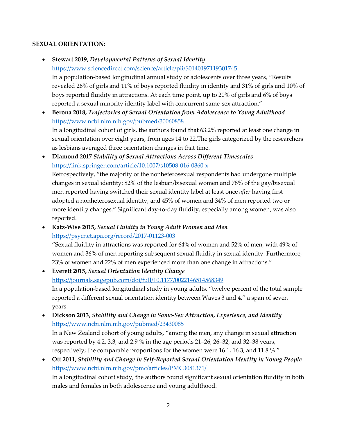#### **SEXUAL ORIENTATION:**

- **Stewart 2019,** *Developmental Patterns of Sexual Identity* <https://www.sciencedirect.com/science/article/pii/S0140197119301745> In a population-based longitudinal annual study of adolescents over three years, "Results revealed 26% of girls and 11% of boys reported fluidity in identity and 31% of girls and 10% of boys reported fluidity in attractions. At each time point, up to 20% of girls and 6% of boys reported a sexual minority identity label with concurrent same-sex attraction."
- **Berona 2018,** *Trajectories of Sexual Orientation from Adolescence to Young Adulthood* <https://www.ncbi.nlm.nih.gov/pubmed/30060858> In a longitudinal cohort of girls, the authors found that 63.2% reported at least one change in sexual orientation over eight years, from ages 14 to 22.The girls categorized by the researchers as lesbians averaged three orientation changes in that time.
- **Diamond 2017** *Stability of Sexual Attractions Across Different Timescales* <https://link.springer.com/article/10.1007/s10508-016-0860-x> Retrospectively, "the majority of the nonheterosexual respondents had undergone multiple changes in sexual identity: 82% of the lesbian/bisexual women and 78% of the gay/bisexual men reported having switched their sexual identity label at least once *after* having first adopted a nonheterosexual identity, and 45% of women and 34% of men reported two or more identity changes." Significant day-to-day fluidity, especially among women, was also reported.
- **Katz-Wise 2015,** *Sexual Fluidity in Young Adult Women and Men* <https://psycnet.apa.org/record/2017-01123-003>

males and females in both adolescence and young adulthood.

"Sexual fluidity in attractions was reported for 64% of women and 52% of men, with 49% of women and 36% of men reporting subsequent sexual fluidity in sexual identity. Furthermore, 23% of women and 22% of men experienced more than one change in attractions."

• **Everett 2015,** *Sexual Orientation Identity Change* <https://journals.sagepub.com/doi/full/10.1177/0022146514568349> In a population-based longitudinal study in young adults, "twelve percent of the total sample reported a different sexual orientation identity between Waves 3 and 4," a span of seven years.

- **Dickson 2013,** *Stability and Change in Same-Sex Attraction, Experience, and Identity* <https://www.ncbi.nlm.nih.gov/pubmed/23430085> In a New Zealand cohort of young adults, "among the men, any change in sexual attraction was reported by 4.2, 3.3, and 2.9 % in the age periods 21–26, 26–32, and 32–38 years,
- respectively; the comparable proportions for the women were 16.1, 16.3, and 11.8 %." • **Ott 2011,** *Stability and Change in Self-Reported Sexual Orientation Identity in Young People* <https://www.ncbi.nlm.nih.gov/pmc/articles/PMC3081371/> In a longitudinal cohort study, the authors found significant sexual orientation fluidity in both

2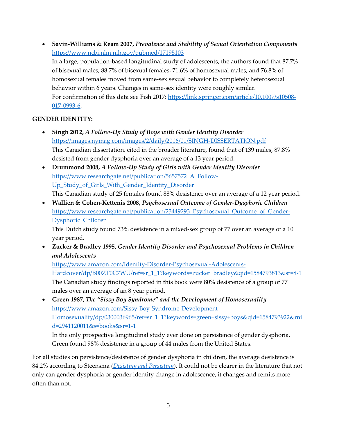• **Savin-Williams & Ream 2007,** *Prevalence and Stability of Sexual Orientation Components* <https://www.ncbi.nlm.nih.gov/pubmed/17195103> In a large, population-based longitudinal study of adolescents, the authors found that 87.7% of bisexual males, 88.7% of bisexual females, 71.6% of homosexual males, and 76.8% of homosexual females moved from same-sex sexual behavior to completely heterosexual behavior within 6 years. Changes in same-sex identity were roughly similar. For confirmation of this data see Fish 2017: [https://link.springer.com/article/10.1007/s10508-](https://link.springer.com/article/10.1007/s10508-017-0993-6) [017-0993-6.](https://link.springer.com/article/10.1007/s10508-017-0993-6)

### **GENDER IDENTITY:**

- **Singh 2012,** *A Follow-Up Study of Boys with Gender Identity Disorder* <https://images.nymag.com/images/2/daily/2016/01/SINGH-DISSERTATION.pdf> This Canadian dissertation, cited in the broader literature, found that of 139 males, 87.8% desisted from gender dysphoria over an average of a 13 year period.
- **Drummond 2008,** *A Follow-Up Study of Girls with Gender Identity Disorder* [https://www.researchgate.net/publication/5657572\\_A\\_Follow-](https://www.researchgate.net/publication/5657572_A_Follow-Up_Study_of_Girls_With_Gender_Identity_Disorder)Up Study of Girls With Gender Identity Disorder This Canadian study of 25 females found 88% desistence over an average of a 12 year period.
- **Wallien & Cohen-Kettenis 2008,** *Psychosexual Outcome of Gender-Dysphoric Children* [https://www.researchgate.net/publication/23449293\\_Psychosexual\\_Outcome\\_of\\_Gender-](https://www.researchgate.net/publication/23449293_Psychosexual_Outcome_of_Gender-Dysphoric_Children)[Dysphoric\\_Children](https://www.researchgate.net/publication/23449293_Psychosexual_Outcome_of_Gender-Dysphoric_Children)

This Dutch study found 73% desistence in a mixed-sex group of 77 over an average of a 10 year period.

• **Zucker & Bradley 1995,** *Gender Identity Disorder and Psychosexual Problems in Children and Adolescents*

[https://www.amazon.com/Identity-Disorder-Psychosexual-Adolescents-](https://www.amazon.com/Identity-Disorder-Psychosexual-Adolescents-Hardcover/dp/B00ZT0C7WU/ref=sr_1_1?keywords=zucker+bradley&qid=1584793813&sr=8-1)[Hardcover/dp/B00ZT0C7WU/ref=sr\\_1\\_1?keywords=zucker+bradley&qid=1584793813&sr=8-1](https://www.amazon.com/Identity-Disorder-Psychosexual-Adolescents-Hardcover/dp/B00ZT0C7WU/ref=sr_1_1?keywords=zucker+bradley&qid=1584793813&sr=8-1) The Canadian study findings reported in this book were 80% desistence of a group of 77 males over an average of an 8 year period.

• **Green 1987,** *The "Sissy Boy Syndrome" and the Development of Homosexuality* [https://www.amazon.com/Sissy-Boy-Syndrome-Development-](https://www.amazon.com/Sissy-Boy-Syndrome-Development-Homosexuality/dp/0300036965/ref=sr_1_1?keywords=green+sissy+boys&qid=1584793922&rnid=2941120011&s=books&sr=1-1)[Homosexuality/dp/0300036965/ref=sr\\_1\\_1?keywords=green+sissy+boys&qid=1584793922&rni](https://www.amazon.com/Sissy-Boy-Syndrome-Development-Homosexuality/dp/0300036965/ref=sr_1_1?keywords=green+sissy+boys&qid=1584793922&rnid=2941120011&s=books&sr=1-1) [d=2941120011&s=books&sr=1-1](https://www.amazon.com/Sissy-Boy-Syndrome-Development-Homosexuality/dp/0300036965/ref=sr_1_1?keywords=green+sissy+boys&qid=1584793922&rnid=2941120011&s=books&sr=1-1)

In the only prospective longitudinal study ever done on persistence of gender dysphoria, Green found 98% desistence in a group of 44 males from the United States.

For all studies on persistence/desistence of gender dysphoria in children, the average desistence is 84.2% according to Steensma (*[Desisting and Persisting](https://pubmed.ncbi.nlm.nih.gov/21216800/)*). It could not be clearer in the literature that not only can gender dysphoria or gender identity change in adolescence, it changes and remits more often than not.